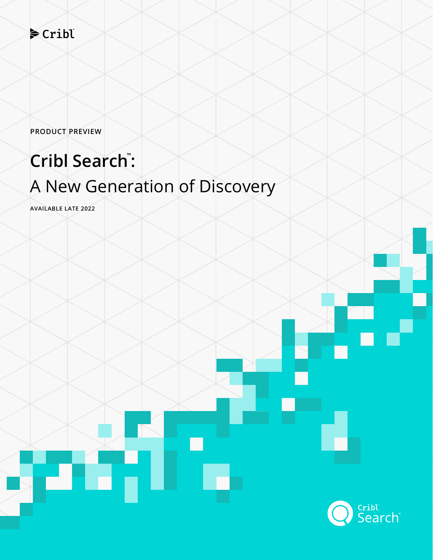### $\blacktriangleright$  Cribl

**PRODUCT PREVIEW**

# **Cribl Search™ :** A New Generation of Discovery

**AVAILABLE LATE 2022**

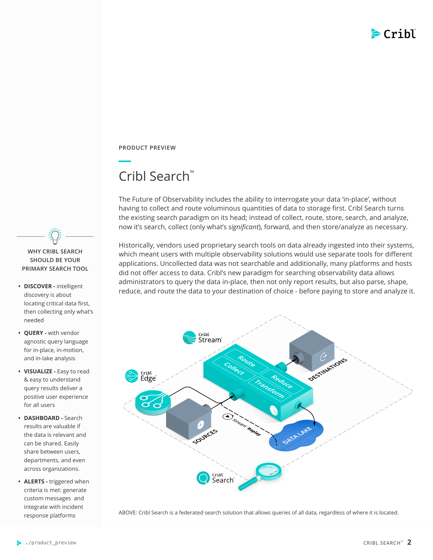

**PRODUCT PREVIEW**

## Cribl Search™

The Future of Observability includes the ability to interrogate your data 'in-place', without having to collect and route voluminous quantities of data to storage first. Cribl Search turns the existing search paradigm on its head; instead of collect, route, store, search, and analyze, now it's search, collect (only what's *significant*), forward, and then store/analyze as necessary.

Historically, vendors used proprietary search tools on data already ingested into their systems, which meant users with multiple observability solutions would use separate tools for different applications. Uncollected data was not searchable and additionally, many platforms and hosts did not offer access to data. Cribl's new paradigm for searching observability data allows administrators to query the data in-place, then not only report results, but also parse, shape, reduce, and route the data to your destination of choice - before paying to store and analyze it. **• DISCOVER -** intelligent



ABOVE: Cribl Search is a federated search solution that allows queries of all data, regardless of where it is located.



- discovery is about locating critical data first, then collecting only what's needed
- **• QUERY** with vendor agnostic query language for in-place, in-motion, and in-lake analysis
- **• VISUALIZE** Easy to read & easy to understand query results deliver a positive user experience for all users
- **• DASHBOARD** Search results are valuable if the data is relevant and can be shared. Easily share between users, departments, and even across organizations.
- **• ALERTS** triggered when criteria is met: generate custom messages and integrate with incident response platforms